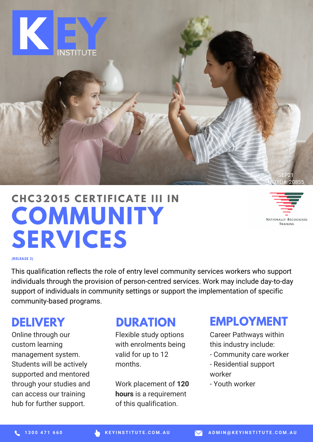

# **COMMUNITY SERVICES CHC320 15 CE R T I F ICAT E III I N**

NATIONALLY RECOGNISED TRAINING

**(RELEASE 3)**

This qualification reflects the role of entry level community services workers who support individuals through the provision of person-centred services. Work may include day-to-day support of individuals in community settings or support the implementation of specific community-based programs.

#### **DELIVERY**

Online through our custom learning management system. Students will be actively supported and mentored through your studies and can access our training hub for further support.

#### **DURATION**

Flexible study options with enrolments being valid for up to 12 months.

Work placement of **120 hours** is a requirement of this qualification.

#### **EMPLOYMENT**

Career Pathways within this industry include:

- Community care worker
- Residential support worker
- Youth worker